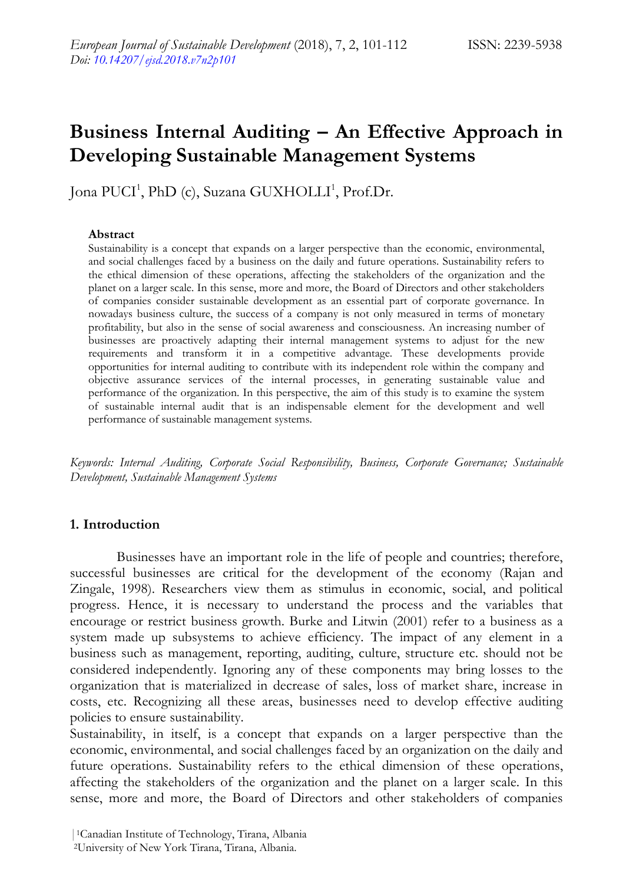# **Business Internal Auditing – An Effective Approach in Developing Sustainable Management Systems**

Jona PUCI<sup>1</sup>, PhD (c), Suzana GUXHOLLI<sup>1</sup>, Prof.Dr.

#### **Abstract**

Sustainability is a concept that expands on a larger perspective than the economic, environmental, and social challenges faced by a business on the daily and future operations. Sustainability refers to the ethical dimension of these operations, affecting the stakeholders of the organization and the planet on a larger scale. In this sense, more and more, the Board of Directors and other stakeholders of companies consider sustainable development as an essential part of corporate governance. In nowadays business culture, the success of a company is not only measured in terms of monetary profitability, but also in the sense of social awareness and consciousness. An increasing number of businesses are proactively adapting their internal management systems to adjust for the new requirements and transform it in a competitive advantage. These developments provide opportunities for internal auditing to contribute with its independent role within the company and objective assurance services of the internal processes, in generating sustainable value and performance of the organization. In this perspective, the aim of this study is to examine the system of sustainable internal audit that is an indispensable element for the development and well performance of sustainable management systems.

*Keywords: Internal Auditing, Corporate Social Responsibility, Business, Corporate Governance; Sustainable Development, Sustainable Management Systems*

### **1. Introduction**

Businesses have an important role in the life of people and countries; therefore, successful businesses are critical for the development of the economy (Rajan and Zingale, 1998). Researchers view them as stimulus in economic, social, and political progress. Hence, it is necessary to understand the process and the variables that encourage or restrict business growth. Burke and Litwin (2001) refer to a business as a system made up subsystems to achieve efficiency. The impact of any element in a business such as management, reporting, auditing, culture, structure etc. should not be considered independently. Ignoring any of these components may bring losses to the organization that is materialized in decrease of sales, loss of market share, increase in costs, etc. Recognizing all these areas, businesses need to develop effective auditing policies to ensure sustainability.

Sustainability, in itself, is a concept that expands on a larger perspective than the economic, environmental, and social challenges faced by an organization on the daily and future operations. Sustainability refers to the ethical dimension of these operations, affecting the stakeholders of the organization and the planet on a larger scale. In this sense, more and more, the Board of Directors and other stakeholders of companies

<sup>|</sup>1Canadian Institute of Technology, Tirana, Albania

<sup>2</sup>University of New York Tirana, Tirana, Albania.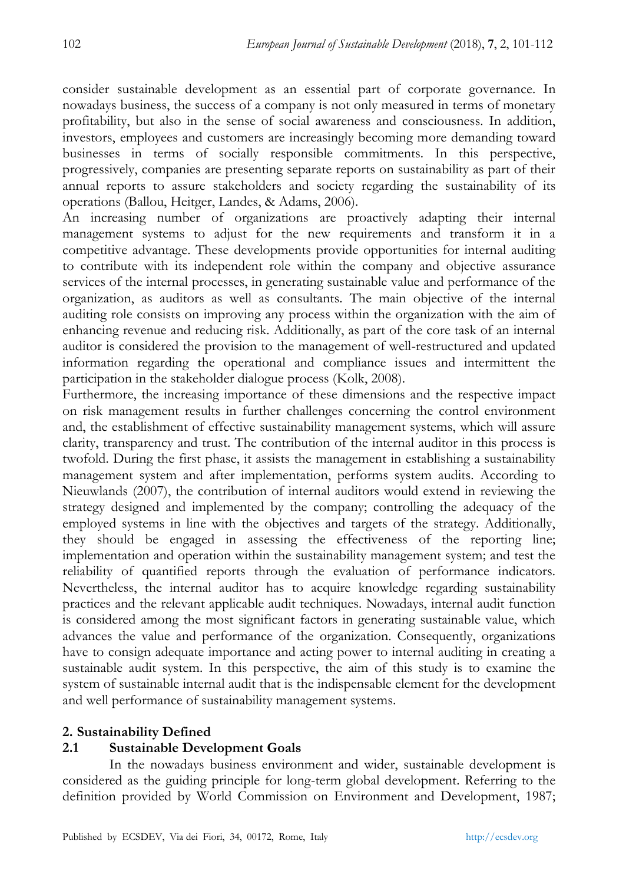consider sustainable development as an essential part of corporate governance. In nowadays business, the success of a company is not only measured in terms of monetary profitability, but also in the sense of social awareness and consciousness. In addition, investors, employees and customers are increasingly becoming more demanding toward businesses in terms of socially responsible commitments. In this perspective, progressively, companies are presenting separate reports on sustainability as part of their annual reports to assure stakeholders and society regarding the sustainability of its operations (Ballou, Heitger, Landes, & Adams, 2006).

An increasing number of organizations are proactively adapting their internal management systems to adjust for the new requirements and transform it in a competitive advantage. These developments provide opportunities for internal auditing to contribute with its independent role within the company and objective assurance services of the internal processes, in generating sustainable value and performance of the organization, as auditors as well as consultants. The main objective of the internal auditing role consists on improving any process within the organization with the aim of enhancing revenue and reducing risk. Additionally, as part of the core task of an internal auditor is considered the provision to the management of well-restructured and updated information regarding the operational and compliance issues and intermittent the participation in the stakeholder dialogue process (Kolk, 2008).

Furthermore, the increasing importance of these dimensions and the respective impact on risk management results in further challenges concerning the control environment and, the establishment of effective sustainability management systems, which will assure clarity, transparency and trust. The contribution of the internal auditor in this process is twofold. During the first phase, it assists the management in establishing a sustainability management system and after implementation, performs system audits. According to Nieuwlands (2007), the contribution of internal auditors would extend in reviewing the strategy designed and implemented by the company; controlling the adequacy of the employed systems in line with the objectives and targets of the strategy. Additionally, they should be engaged in assessing the effectiveness of the reporting line; implementation and operation within the sustainability management system; and test the reliability of quantified reports through the evaluation of performance indicators. Nevertheless, the internal auditor has to acquire knowledge regarding sustainability practices and the relevant applicable audit techniques. Nowadays, internal audit function is considered among the most significant factors in generating sustainable value, which advances the value and performance of the organization. Consequently, organizations have to consign adequate importance and acting power to internal auditing in creating a sustainable audit system. In this perspective, the aim of this study is to examine the system of sustainable internal audit that is the indispensable element for the development and well performance of sustainability management systems.

### **2. Sustainability Defined**

# **2.1 Sustainable Development Goals**

In the nowadays business environment and wider, sustainable development is considered as the guiding principle for long-term global development. Referring to the definition provided by World Commission on Environment and Development, 1987;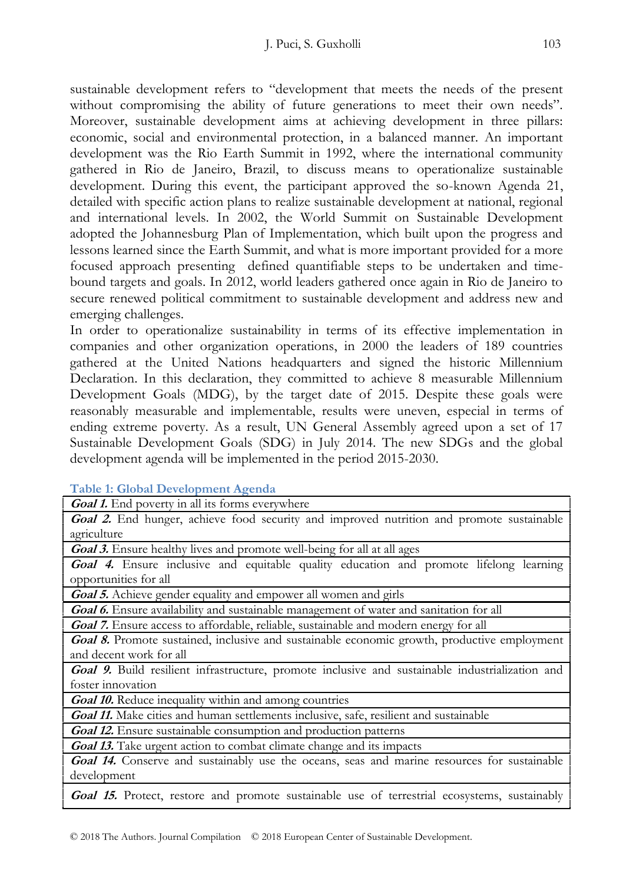sustainable development refers to "development that meets the needs of the present without compromising the ability of future generations to meet their own needs". Moreover, sustainable development aims at achieving development in three pillars: economic, social and environmental protection, in a balanced manner. An important development was the Rio Earth Summit in 1992, where the international community gathered in Rio de Janeiro, Brazil, to discuss means to operationalize sustainable development. During this event, the participant approved the so-known Agenda 21, detailed with specific action plans to realize sustainable development at national, regional and international levels. In 2002, the World Summit on Sustainable Development adopted the Johannesburg Plan of Implementation, which built upon the progress and lessons learned since the Earth Summit, and what is more important provided for a more focused approach presenting defined quantifiable steps to be undertaken and timebound targets and goals. In 2012, world leaders gathered once again in Rio de Janeiro to secure renewed political commitment to sustainable development and address new and emerging challenges.

In order to operationalize sustainability in terms of its effective implementation in companies and other organization operations, in 2000 the leaders of 189 countries gathered at the United Nations headquarters and signed the historic Millennium Declaration. In this declaration, they committed to achieve 8 measurable Millennium Development Goals (MDG), by the target date of 2015. Despite these goals were reasonably measurable and implementable, results were uneven, especial in terms of ending extreme poverty. As a result, UN General Assembly agreed upon a set of 17 Sustainable Development Goals (SDG) in July 2014. The new SDGs and the global development agenda will be implemented in the period 2015-2030.

**Table 1: Global Development Agenda**

| <b>Goal 1.</b> End poverty in all its forms everywhere                                             |  |  |  |
|----------------------------------------------------------------------------------------------------|--|--|--|
| Goal 2. End hunger, achieve food security and improved nutrition and promote sustainable           |  |  |  |
| agriculture                                                                                        |  |  |  |
| <b>Goal 3.</b> Ensure healthy lives and promote well-being for all at all ages                     |  |  |  |
| Goal 4. Ensure inclusive and equitable quality education and promote lifelong learning             |  |  |  |
| opportunities for all                                                                              |  |  |  |
| Goal 5. Achieve gender equality and empower all women and girls                                    |  |  |  |
| <b>Goal 6.</b> Ensure availability and sustainable management of water and sanitation for all      |  |  |  |
| Goal 7. Ensure access to affordable, reliable, sustainable and modern energy for all               |  |  |  |
| <b>Goal 8.</b> Promote sustained, inclusive and sustainable economic growth, productive employment |  |  |  |
| and decent work for all                                                                            |  |  |  |
| Goal 9. Build resilient infrastructure, promote inclusive and sustainable industrialization and    |  |  |  |
| foster innovation                                                                                  |  |  |  |
| Goal 10. Reduce inequality within and among countries                                              |  |  |  |
| Goal 11. Make cities and human settlements inclusive, safe, resilient and sustainable              |  |  |  |
| <b>Goal 12.</b> Ensure sustainable consumption and production patterns                             |  |  |  |
| <b>Goal 13.</b> Take urgent action to combat climate change and its impacts                        |  |  |  |
| Goal 14. Conserve and sustainably use the oceans, seas and marine resources for sustainable        |  |  |  |
| development                                                                                        |  |  |  |
| Goal 15. Protect, restore and promote sustainable use of terrestrial ecosystems, sustainably       |  |  |  |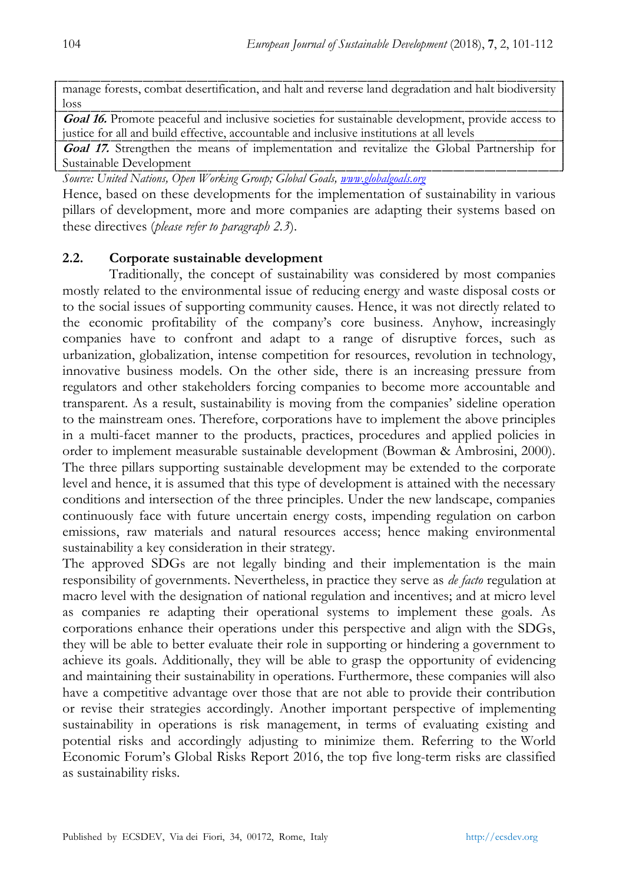manage forests, combat desertification, and halt and reverse land degradation and halt biodiversity loss

**Goal 16.** Promote peaceful and inclusive societies for sustainable development, provide access to justice for all and build effective, accountable and inclusive institutions at all levels

**Goal 17.** Strengthen the means of implementation and revitalize the Global Partnership for Sustainable Development

*Source: United Nations, Open Working Group; Global Goals, [www.globalgoals.org](http://www.globalgoals.org/)*

Hence, based on these developments for the implementation of sustainability in various pillars of development, more and more companies are adapting their systems based on these directives (*please refer to paragraph 2.3*).

## **2.2. Corporate sustainable development**

Traditionally, the concept of sustainability was considered by most companies mostly related to the environmental issue of reducing energy and waste disposal costs or to the social issues of supporting community causes. Hence, it was not directly related to the economic profitability of the company's core business. Anyhow, increasingly companies have to confront and adapt to a range of disruptive forces, such as urbanization, globalization, intense competition for resources, revolution in technology, innovative business models. On the other side, there is an increasing pressure from regulators and other stakeholders forcing companies to become more accountable and transparent. As a result, sustainability is moving from the companies' sideline operation to the mainstream ones. Therefore, corporations have to implement the above principles in a multi-facet manner to the products, practices, procedures and applied policies in order to implement measurable sustainable development (Bowman & Ambrosini, 2000). The three pillars supporting sustainable development may be extended to the corporate level and hence, it is assumed that this type of development is attained with the necessary conditions and intersection of the three principles. Under the new landscape, companies continuously face with future uncertain energy costs, impending regulation on carbon emissions, raw materials and natural resources access; hence making environmental sustainability a key consideration in their strategy.

The approved SDGs are not legally binding and their implementation is the main responsibility of governments. Nevertheless, in practice they serve as *de facto* regulation at macro level with the designation of national regulation and incentives; and at micro level as companies re adapting their operational systems to implement these goals. As corporations enhance their operations under this perspective and align with the SDGs, they will be able to better evaluate their role in supporting or hindering a government to achieve its goals. Additionally, they will be able to grasp the opportunity of evidencing and maintaining their sustainability in operations. Furthermore, these companies will also have a competitive advantage over those that are not able to provide their contribution or revise their strategies accordingly. Another important perspective of implementing sustainability in operations is risk management, in terms of evaluating existing and potential risks and accordingly adjusting to minimize them. Referring to the World Economic Forum's Global Risks Report 2016, the top five long-term risks are classified as sustainability risks.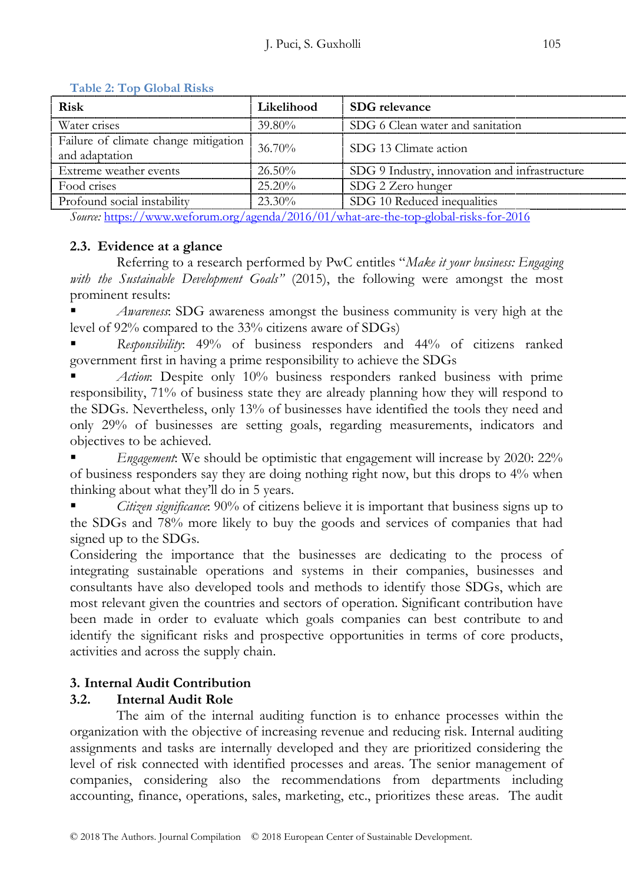| Risk                                                   | Likelihood         | SDG relevance                                 |  |
|--------------------------------------------------------|--------------------|-----------------------------------------------|--|
| Water crises                                           | 39.80 <sup>%</sup> | SDG 6 Clean water and sanitation              |  |
| Failure of climate change mitigation<br>and adaptation | $-36.70\%$         | SDG 13 Climate action                         |  |
| Extreme weather events                                 | $-26.50\%$         | SDG 9 Industry, innovation and infrastructure |  |
| Food crises                                            | $25.20\%$          | SDG 2 Zero hunger                             |  |
| Profound social instability                            | $23.30\%$          | SDG 10 Reduced inequalities                   |  |
|                                                        |                    |                                               |  |

#### **Table 2: Top Global Risks**

*Source:* <https://www.weforum.org/agenda/2016/01/what-are-the-top-global-risks-for-2016>

## **2.3. Evidence at a glance**

Referring to a research performed by PwC entitles "*Make it your business: Engaging with the Sustainable Development Goals"* (2015), the following were amongst the most prominent results:

 *Awareness*: SDG awareness amongst the business community is very high at the level of 92% compared to the 33% citizens aware of SDGs)

 *Responsibility*: 49% of business responders and 44% of citizens ranked government first in having a prime responsibility to achieve the SDGs

 *Action*: Despite only 10% business responders ranked business with prime responsibility, 71% of business state they are already planning how they will respond to the SDGs. Nevertheless, only 13% of businesses have identified the tools they need and only 29% of businesses are setting goals, regarding measurements, indicators and objectives to be achieved.

 *Engagement*: We should be optimistic that engagement will increase by 2020: 22% of business responders say they are doing nothing right now, but this drops to 4% when thinking about what they'll do in 5 years.

 *Citizen significance*: 90% of citizens believe it is important that business signs up to the SDGs and 78% more likely to buy the goods and services of companies that had signed up to the SDGs.

Considering the importance that the businesses are dedicating to the process of integrating sustainable operations and systems in their companies, businesses and consultants have also developed tools and methods to identify those SDGs, which are most relevant given the countries and sectors of operation. Significant contribution have been made in order to evaluate which goals companies can best contribute to and identify the significant risks and prospective opportunities in terms of core products, activities and across the supply chain.

# **3. Internal Audit Contribution**

# **3.2. Internal Audit Role**

The aim of the internal auditing function is to enhance processes within the organization with the objective of increasing revenue and reducing risk. Internal auditing assignments and tasks are internally developed and they are prioritized considering the level of risk connected with identified processes and areas. The senior management of companies, considering also the recommendations from departments including accounting, finance, operations, sales, marketing, etc., prioritizes these areas. The audit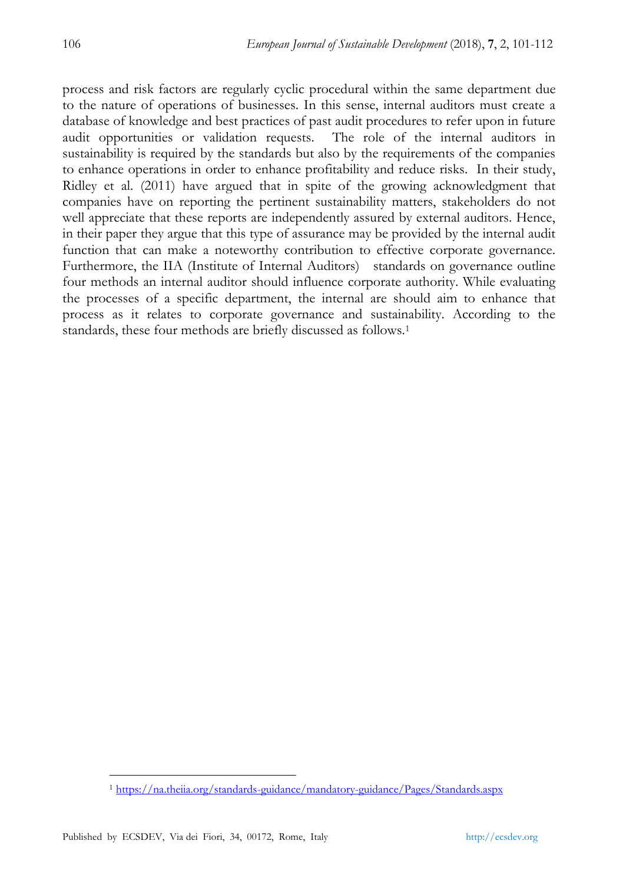process and risk factors are regularly cyclic procedural within the same department due to the nature of operations of businesses. In this sense, internal auditors must create a database of knowledge and best practices of past audit procedures to refer upon in future audit opportunities or validation requests. The role of the internal auditors in sustainability is required by the standards but also by the requirements of the companies to enhance operations in order to enhance profitability and reduce risks. In their study, Ridley et al. (2011) have argued that in spite of the growing acknowledgment that companies have on reporting the pertinent sustainability matters, stakeholders do not well appreciate that these reports are independently assured by external auditors. Hence, in their paper they argue that this type of assurance may be provided by the internal audit function that can make a noteworthy contribution to effective corporate governance. Furthermore, the IIA (Institute of Internal Auditors) standards on governance outline four methods an internal auditor should influence corporate authority. While evaluating the processes of a specific department, the internal are should aim to enhance that process as it relates to corporate governance and sustainability. According to the standards, these four methods are briefly discussed as follows.<sup>1</sup>

 $\ddot{\phantom{a}}$ 

<sup>1</sup> <https://na.theiia.org/standards-guidance/mandatory-guidance/Pages/Standards.aspx>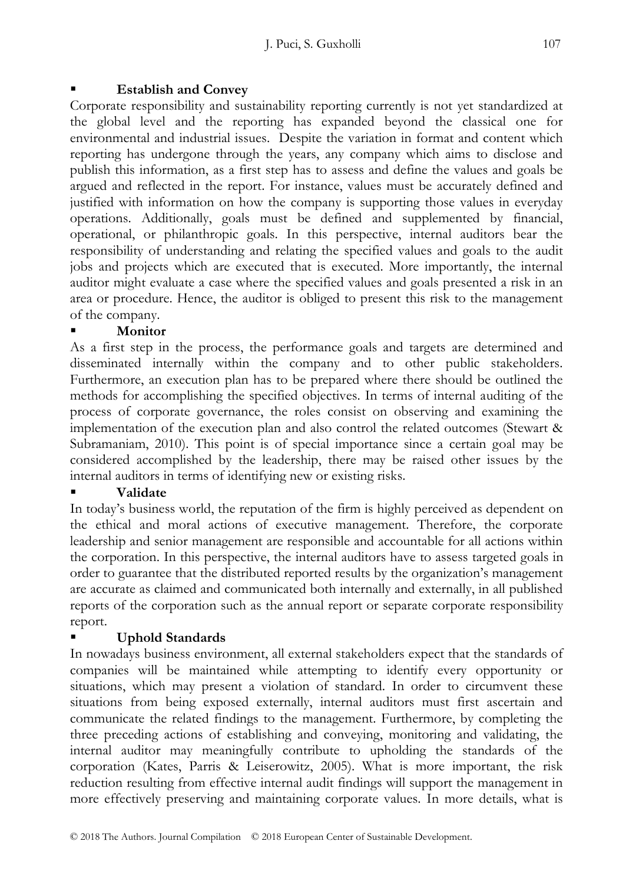## **Establish and Convey**

Corporate responsibility and sustainability reporting currently is not yet standardized at the global level and the reporting has expanded beyond the classical one for environmental and industrial issues. Despite the variation in format and content which reporting has undergone through the years, any company which aims to disclose and publish this information, as a first step has to assess and define the values and goals be argued and reflected in the report. For instance, values must be accurately defined and justified with information on how the company is supporting those values in everyday operations. Additionally, goals must be defined and supplemented by financial, operational, or philanthropic goals. In this perspective, internal auditors bear the responsibility of understanding and relating the specified values and goals to the audit jobs and projects which are executed that is executed. More importantly, the internal auditor might evaluate a case where the specified values and goals presented a risk in an area or procedure. Hence, the auditor is obliged to present this risk to the management of the company.

## **Monitor**

As a first step in the process, the performance goals and targets are determined and disseminated internally within the company and to other public stakeholders. Furthermore, an execution plan has to be prepared where there should be outlined the methods for accomplishing the specified objectives. In terms of internal auditing of the process of corporate governance, the roles consist on observing and examining the implementation of the execution plan and also control the related outcomes (Stewart & Subramaniam, 2010). This point is of special importance since a certain goal may be considered accomplished by the leadership, there may be raised other issues by the internal auditors in terms of identifying new or existing risks.

## **Validate**

In today's business world, the reputation of the firm is highly perceived as dependent on the ethical and moral actions of executive management. Therefore, the corporate leadership and senior management are responsible and accountable for all actions within the corporation. In this perspective, the internal auditors have to assess targeted goals in order to guarantee that the distributed reported results by the organization's management are accurate as claimed and communicated both internally and externally, in all published reports of the corporation such as the annual report or separate corporate responsibility report.

# **Uphold Standards**

In nowadays business environment, all external stakeholders expect that the standards of companies will be maintained while attempting to identify every opportunity or situations, which may present a violation of standard. In order to circumvent these situations from being exposed externally, internal auditors must first ascertain and communicate the related findings to the management. Furthermore, by completing the three preceding actions of establishing and conveying, monitoring and validating, the internal auditor may meaningfully contribute to upholding the standards of the corporation (Kates, Parris & Leiserowitz, 2005). What is more important, the risk reduction resulting from effective internal audit findings will support the management in more effectively preserving and maintaining corporate values. In more details, what is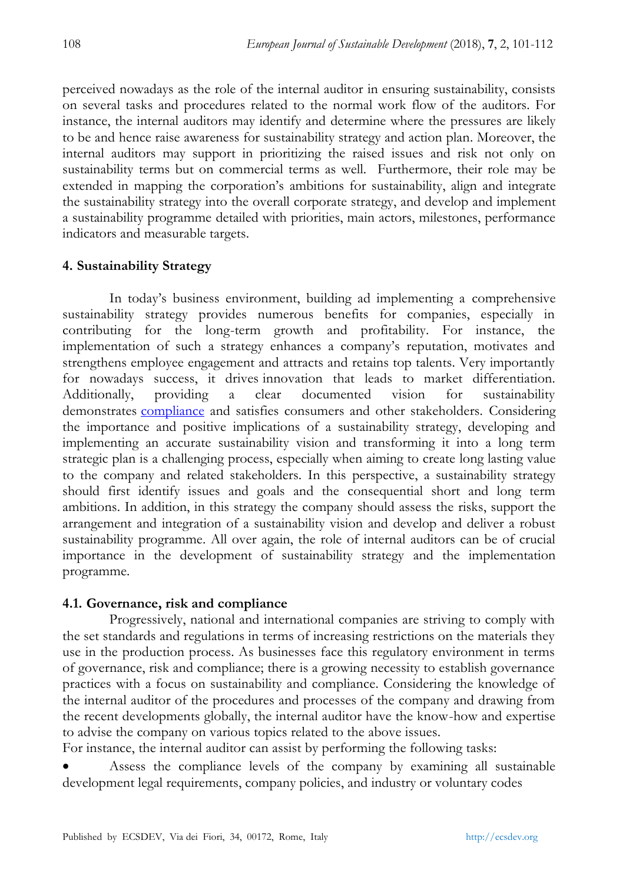perceived nowadays as the role of the internal auditor in ensuring sustainability, consists on several tasks and procedures related to the normal work flow of the auditors. For instance, the internal auditors may identify and determine where the pressures are likely to be and hence raise awareness for sustainability strategy and action plan. Moreover, the internal auditors may support in prioritizing the raised issues and risk not only on sustainability terms but on commercial terms as well. Furthermore, their role may be extended in mapping the corporation's ambitions for sustainability, align and integrate the sustainability strategy into the overall corporate strategy, and develop and implement a sustainability programme detailed with priorities, main actors, milestones, performance indicators and measurable targets.

## **4. Sustainability Strategy**

In today's business environment, building ad implementing a comprehensive sustainability strategy provides numerous benefits for companies, especially in contributing for the long-term growth and profitability. For instance, the implementation of such a strategy enhances a company's reputation, motivates and strengthens employee engagement and attracts and retains top talents. Very importantly for nowadays success, it drives [innovation](https://www.pwc.com/gx/en/issues/innovation.html) that leads to market differentiation. Additionally, providing a clear documented vision for sustainability demonstrates [compliance](https://www.pwc.com/gx/en/issues/regulation.html) and satisfies consumers and other stakeholders. Considering the importance and positive implications of a sustainability strategy, developing and implementing an accurate sustainability vision and transforming it into a long term strategic plan is a challenging process, especially when aiming to create long lasting value to the company and related stakeholders. In this perspective, a sustainability strategy should first identify issues and goals and the consequential short and long term ambitions. In addition, in this strategy the company should assess the risks, support the arrangement and integration of a sustainability vision and develop and deliver a robust sustainability programme. All over again, the role of internal auditors can be of crucial importance in the development of sustainability strategy and the implementation programme.

### **4.1. Governance, risk and compliance**

Progressively, national and international companies are striving to comply with the set standards and regulations in terms of increasing restrictions on the materials they use in the production process. As businesses face this regulatory environment in terms of governance, risk and compliance; there is a growing necessity to establish governance practices with a focus on sustainability and compliance. Considering the knowledge of the internal auditor of the procedures and processes of the company and drawing from the recent developments globally, the internal auditor have the know-how and expertise to advise the company on various topics related to the above issues.

For instance, the internal auditor can assist by performing the following tasks:

 Assess the compliance levels of the company by examining all sustainable development legal requirements, company policies, and industry or voluntary codes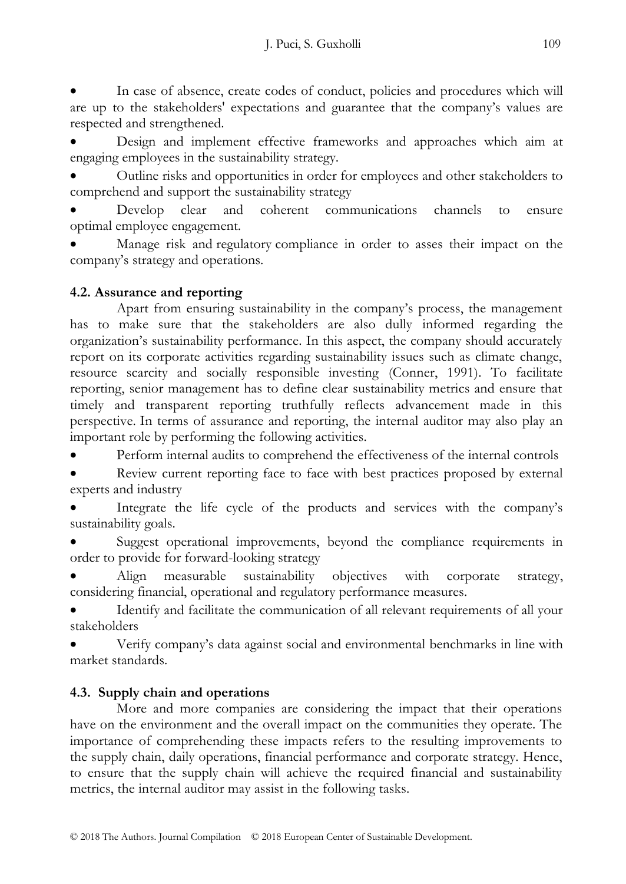In case of absence, create codes of conduct, policies and procedures which will are up to the stakeholders' expectations and guarantee that the company's values are respected and strengthened.

 Design and implement effective frameworks and approaches which aim at engaging employees in the sustainability strategy.

 Outline risks and opportunities in order for employees and other stakeholders to comprehend and support the sustainability strategy

 Develop clear and coherent communications channels to ensure optimal employee engagement.

 Manage risk and regulatory compliance in order to asses their impact on the company's strategy and operations.

# **4.2. Assurance and reporting**

Apart from ensuring sustainability in the company's process, the management has to make sure that the stakeholders are also dully informed regarding the organization's sustainability performance. In this aspect, the company should accurately report on its corporate activities regarding sustainability issues such as climate change, resource scarcity and socially responsible investing (Conner, 1991). To facilitate reporting, senior management has to define clear sustainability metrics and ensure that timely and transparent reporting truthfully reflects advancement made in this perspective. In terms of assurance and reporting, the internal auditor may also play an important role by performing the following activities.

Perform internal audits to comprehend the effectiveness of the internal controls

 Review current reporting face to face with best practices proposed by external experts and industry

 Integrate the life cycle of the products and services with the company's sustainability goals.

 Suggest operational improvements, beyond the compliance requirements in order to provide for forward-looking strategy

 Align measurable sustainability objectives with corporate strategy, considering financial, operational and regulatory performance measures.

 Identify and facilitate the communication of all relevant requirements of all your stakeholders

 Verify company's data against social and environmental benchmarks in line with market standards.

# **4.3. Supply chain and operations**

More and more companies are considering the impact that their operations have on the environment and the overall impact on the communities they operate. The importance of comprehending these impacts refers to the resulting improvements to the supply chain, daily operations, financial performance and corporate strategy. Hence, to ensure that the supply chain will achieve the required financial and sustainability metrics, the internal auditor may assist in the following tasks.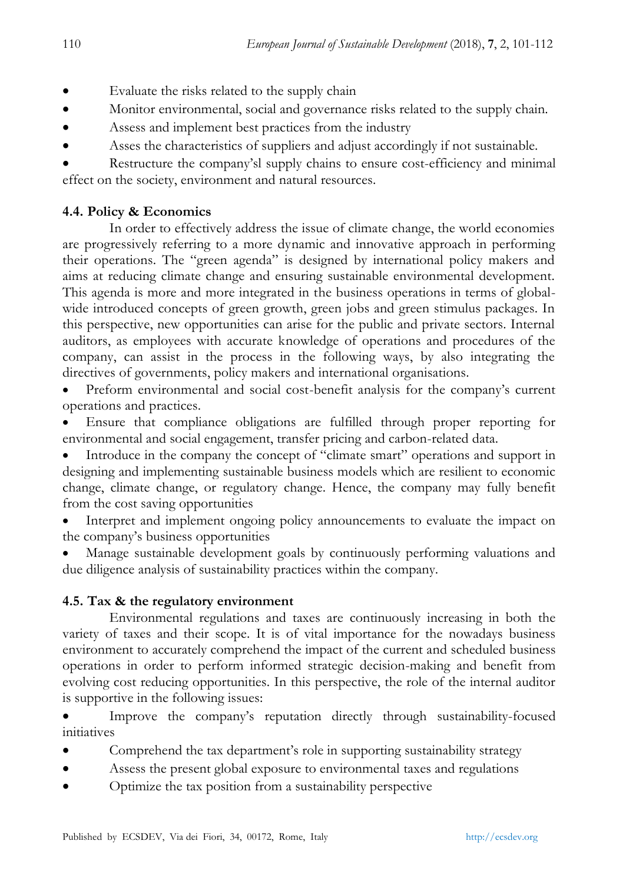- Evaluate the risks related to the supply chain
- Monitor environmental, social and governance risks related to the supply chain.
- Assess and implement best practices from the industry
- Asses the characteristics of suppliers and adjust accordingly if not sustainable.
- Restructure the company'sl supply chains to ensure cost-efficiency and minimal effect on the society, environment and natural resources.

## **4.4. Policy & Economics**

In order to effectively address the issue of climate change, the world economies are progressively referring to a more dynamic and innovative approach in performing their operations. The "green agenda" is designed by international policy makers and aims at reducing climate change and ensuring sustainable environmental development. This agenda is more and more integrated in the business operations in terms of globalwide introduced concepts of green growth, green jobs and green stimulus packages. In this perspective, new opportunities can arise for the public and private sectors. Internal auditors, as employees with accurate knowledge of operations and procedures of the company, can assist in the process in the following ways, by also integrating the directives of governments, policy makers and international organisations.

 Preform environmental and social cost-benefit analysis for the company's current operations and practices.

 Ensure that compliance obligations are fulfilled through proper reporting for environmental and social engagement, transfer pricing and carbon-related data.

 Introduce in the company the concept of "climate smart" operations and support in designing and implementing sustainable business models which are resilient to economic change, climate change, or regulatory change. Hence, the company may fully benefit from the cost saving opportunities

 Interpret and implement ongoing policy announcements to evaluate the impact on the company's business opportunities

 Manage sustainable development goals by continuously performing valuations and due diligence analysis of sustainability practices within the company.

## **4.5. Tax & the regulatory environment**

Environmental regulations and taxes are continuously increasing in both the variety of taxes and their scope. It is of vital importance for the nowadays business environment to accurately comprehend the impact of the current and scheduled business operations in order to perform informed strategic decision-making and benefit from evolving cost reducing opportunities. In this perspective, the role of the internal auditor is supportive in the following issues:

 Improve the company's reputation directly through sustainability-focused initiatives

- Comprehend the tax department's role in supporting sustainability strategy
- Assess the present global exposure to environmental taxes and regulations
- Optimize the tax position from a sustainability perspective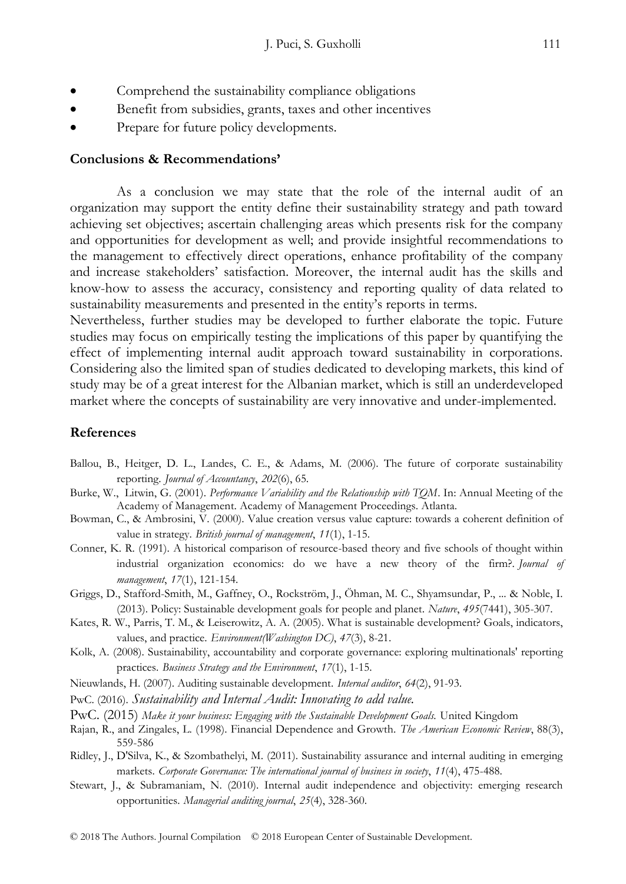- Comprehend the sustainability compliance obligations
- Benefit from subsidies, grants, taxes and other incentives
- Prepare for future policy developments.

#### **Conclusions & Recommendations'**

As a conclusion we may state that the role of the internal audit of an organization may support the entity define their sustainability strategy and path toward achieving set objectives; ascertain challenging areas which presents risk for the company and opportunities for development as well; and provide insightful recommendations to the management to effectively direct operations, enhance profitability of the company and increase stakeholders' satisfaction. Moreover, the internal audit has the skills and know-how to assess the accuracy, consistency and reporting quality of data related to sustainability measurements and presented in the entity's reports in terms.

Nevertheless, further studies may be developed to further elaborate the topic. Future studies may focus on empirically testing the implications of this paper by quantifying the effect of implementing internal audit approach toward sustainability in corporations. Considering also the limited span of studies dedicated to developing markets, this kind of study may be of a great interest for the Albanian market, which is still an underdeveloped market where the concepts of sustainability are very innovative and under-implemented.

#### **References**

- Ballou, B., Heitger, D. L., Landes, C. E., & Adams, M. (2006). The future of corporate sustainability reporting. *Journal of Accountancy*, *202*(6), 65.
- Burke, W., Litwin, G. (2001). *Performance Variability and the Relationship with TQM*. In: Annual Meeting of the Academy of Management. Academy of Management Proceedings. Atlanta.
- Bowman, C., & Ambrosini, V. (2000). Value creation versus value capture: towards a coherent definition of value in strategy. *British journal of management*, *11*(1), 1-15.
- Conner, K. R. (1991). A historical comparison of resource-based theory and five schools of thought within industrial organization economics: do we have a new theory of the firm?. *Journal of management*, *17*(1), 121-154.
- Griggs, D., Stafford-Smith, M., Gaffney, O., Rockström, J., Öhman, M. C., Shyamsundar, P., ... & Noble, I. (2013). Policy: Sustainable development goals for people and planet. *Nature*, *495*(7441), 305-307.
- Kates, R. W., Parris, T. M., & Leiserowitz, A. A. (2005). What is sustainable development? Goals, indicators, values, and practice. *Environment(Washington DC)*, *47*(3), 8-21.
- Kolk, A. (2008). Sustainability, accountability and corporate governance: exploring multinationals' reporting practices. *Business Strategy and the Environment*, *17*(1), 1-15.
- Nieuwlands, H. (2007). Auditing sustainable development. *Internal auditor*, *64*(2), 91-93.
- PwC. (2016). *Sustainability and Internal Audit: Innovating to add value.*
- PwC. (2015) Make it your business: Engaging with the Sustainable Development Goals. United Kingdom
- Rajan, R., and Zingales, L. (1998). Financial Dependence and Growth. *The American Economic Review*, 88(3), 559-586
- Ridley, J., D'Silva, K., & Szombathelyi, M. (2011). Sustainability assurance and internal auditing in emerging markets. *Corporate Governance: The international journal of business in society*, *11*(4), 475-488.
- Stewart, J., & Subramaniam, N. (2010). Internal audit independence and objectivity: emerging research opportunities. *Managerial auditing journal*, *25*(4), 328-360.